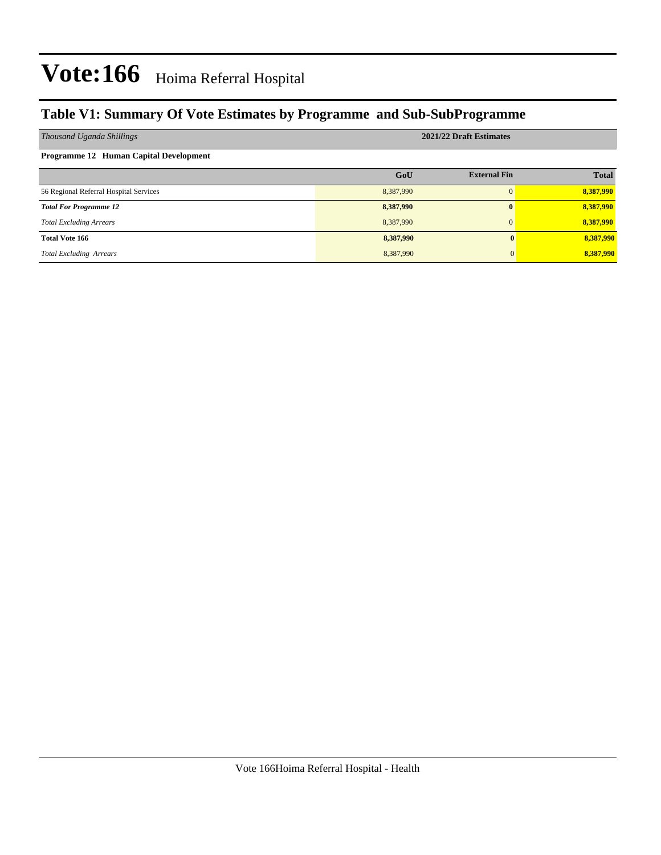### **Table V1: Summary Of Vote Estimates by Programme and Sub-SubProgramme**

| Thousand Uganda Shillings              | 2021/22 Draft Estimates |                     |              |  |  |  |  |
|----------------------------------------|-------------------------|---------------------|--------------|--|--|--|--|
| Programme 12 Human Capital Development |                         |                     |              |  |  |  |  |
|                                        | GoU                     | <b>External Fin</b> | <b>Total</b> |  |  |  |  |
| 56 Regional Referral Hospital Services | 8,387,990               | $\Omega$            | 8,387,990    |  |  |  |  |
| <b>Total For Programme 12</b>          | 8,387,990               | $\mathbf{0}$        | 8,387,990    |  |  |  |  |
| <b>Total Excluding Arrears</b>         | 8,387,990               | $\Omega$            | 8,387,990    |  |  |  |  |
| <b>Total Vote 166</b>                  | 8,387,990               |                     | 8,387,990    |  |  |  |  |
| <b>Total Excluding Arrears</b>         | 8,387,990               |                     | 8,387,990    |  |  |  |  |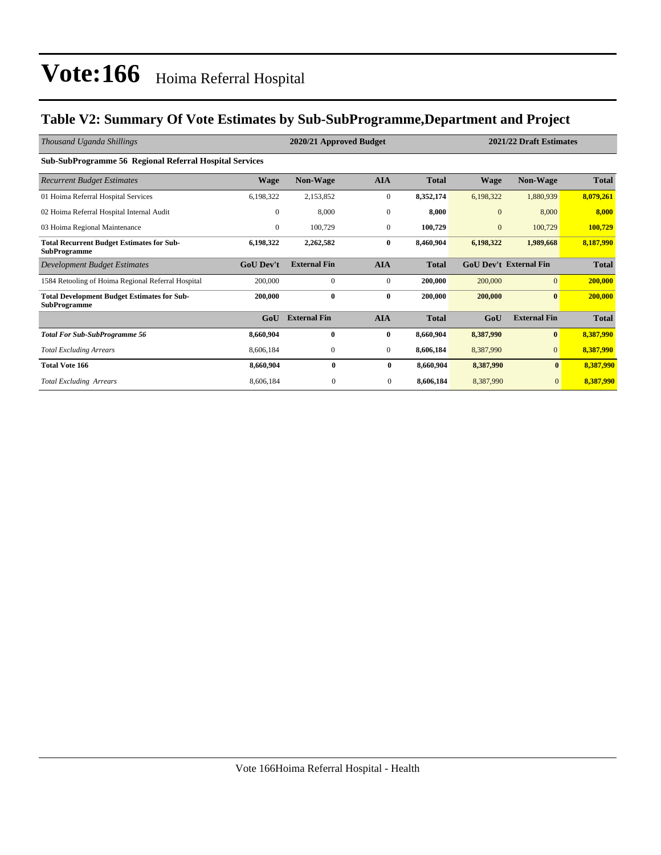### **Table V2: Summary Of Vote Estimates by Sub-SubProgramme,Department and Project**

| Thousand Uganda Shillings                                                 |                  | 2020/21 Approved Budget |                  |              |              | 2021/22 Draft Estimates       |              |
|---------------------------------------------------------------------------|------------------|-------------------------|------------------|--------------|--------------|-------------------------------|--------------|
| <b>Sub-SubProgramme 56 Regional Referral Hospital Services</b>            |                  |                         |                  |              |              |                               |              |
| <b>Recurrent Budget Estimates</b>                                         | <b>Wage</b>      | <b>Non-Wage</b>         | <b>AIA</b>       | <b>Total</b> | <b>Wage</b>  | <b>Non-Wage</b>               | <b>Total</b> |
| 01 Hoima Referral Hospital Services                                       | 6,198,322        | 2,153,852               | $\boldsymbol{0}$ | 8,352,174    | 6,198,322    | 1,880,939                     | 8,079,261    |
| 02 Hoima Referral Hospital Internal Audit                                 | $\mathbf{0}$     | 8,000                   | $\mathbf{0}$     | 8,000        | $\mathbf{0}$ | 8,000                         | 8,000        |
| 03 Hoima Regional Maintenance                                             | $\overline{0}$   | 100,729                 | $\mathbf{0}$     | 100,729      | $\mathbf{0}$ | 100,729                       | 100,729      |
| <b>Total Recurrent Budget Estimates for Sub-</b><br><b>SubProgramme</b>   | 6,198,322        | 2,262,582               | $\bf{0}$         | 8,460,904    | 6,198,322    | 1,989,668                     | 8,187,990    |
| Development Budget Estimates                                              | <b>GoU Dev't</b> | <b>External Fin</b>     | <b>AIA</b>       | <b>Total</b> |              | <b>GoU Dev't External Fin</b> | <b>Total</b> |
| 1584 Retooling of Hoima Regional Referral Hospital                        | 200,000          | $\mathbf{0}$            | $\mathbf{0}$     | 200,000      | 200,000      | $\overline{0}$                | 200,000      |
| <b>Total Development Budget Estimates for Sub-</b><br><b>SubProgramme</b> | 200,000          | $\bf{0}$                | $\bf{0}$         | 200,000      | 200,000      | $\mathbf{0}$                  | 200,000      |
|                                                                           | GoU              | <b>External Fin</b>     | <b>AIA</b>       | <b>Total</b> | GoU          | <b>External Fin</b>           | <b>Total</b> |
| <b>Total For Sub-SubProgramme 56</b>                                      | 8,660,904        | $\mathbf{0}$            | $\bf{0}$         | 8,660,904    | 8,387,990    | $\bf{0}$                      | 8,387,990    |
| <b>Total Excluding Arrears</b>                                            | 8,606,184        | 0                       | $\overline{0}$   | 8,606,184    | 8,387,990    | $\mathbf{0}$                  | 8,387,990    |
| <b>Total Vote 166</b>                                                     | 8,660,904        | $\bf{0}$                | $\bf{0}$         | 8,660,904    | 8,387,990    | $\bf{0}$                      | 8,387,990    |
| <b>Total Excluding Arrears</b>                                            | 8,606,184        | $\theta$                | $\mathbf{0}$     | 8,606,184    | 8,387,990    | $\mathbf{0}$                  | 8,387,990    |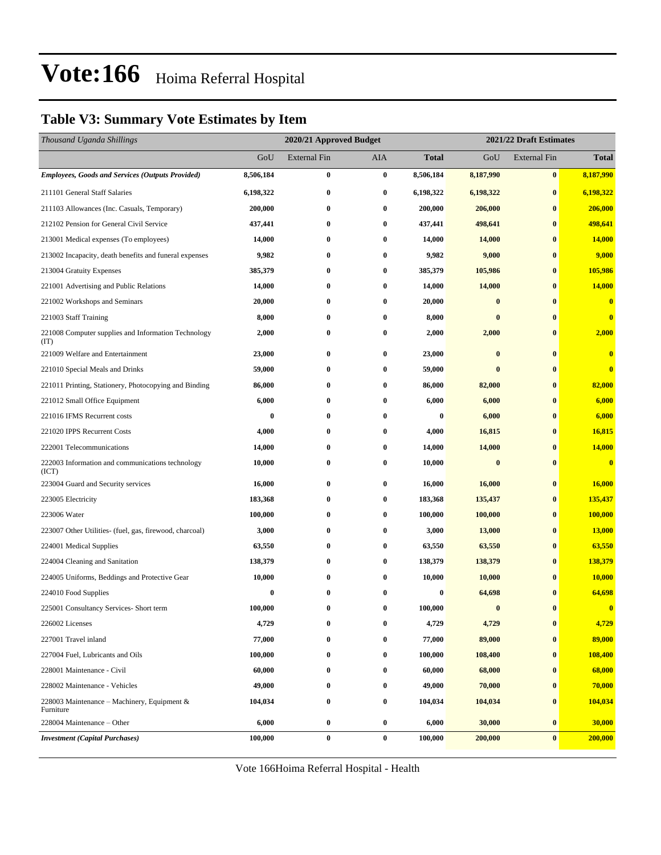### **Table V3: Summary Vote Estimates by Item**

| Thousand Uganda Shillings                                   |                  | 2020/21 Approved Budget |          |                  | 2021/22 Draft Estimates |              |               |  |
|-------------------------------------------------------------|------------------|-------------------------|----------|------------------|-------------------------|--------------|---------------|--|
|                                                             | GoU              | External Fin            | AIA      | <b>Total</b>     | GoU                     | External Fin | <b>Total</b>  |  |
| <b>Employees, Goods and Services (Outputs Provided)</b>     | 8,506,184        | $\bf{0}$                | $\bf{0}$ | 8,506,184        | 8,187,990               | $\pmb{0}$    | 8,187,990     |  |
| 211101 General Staff Salaries                               | 6,198,322        | $\bf{0}$                | $\bf{0}$ | 6,198,322        | 6,198,322               | $\bf{0}$     | 6,198,322     |  |
| 211103 Allowances (Inc. Casuals, Temporary)                 | 200,000          | $\bf{0}$                | 0        | 200,000          | 206,000                 | $\bf{0}$     | 206,000       |  |
| 212102 Pension for General Civil Service                    | 437,441          | $\bf{0}$                | 0        | 437,441          | 498,641                 | $\bf{0}$     | 498,641       |  |
| 213001 Medical expenses (To employees)                      | 14,000           | $\bf{0}$                | 0        | 14,000           | 14,000                  | $\bf{0}$     | 14,000        |  |
| 213002 Incapacity, death benefits and funeral expenses      | 9,982            | $\bf{0}$                | 0        | 9,982            | 9,000                   | $\bf{0}$     | 9,000         |  |
| 213004 Gratuity Expenses                                    | 385,379          | $\bf{0}$                | 0        | 385,379          | 105,986                 | $\bf{0}$     | 105,986       |  |
| 221001 Advertising and Public Relations                     | 14,000           | $\bf{0}$                | $\bf{0}$ | 14,000           | 14,000                  | $\bf{0}$     | <b>14,000</b> |  |
| 221002 Workshops and Seminars                               | 20,000           | $\bf{0}$                | 0        | 20,000           | $\bf{0}$                | $\bf{0}$     | $\bf{0}$      |  |
| 221003 Staff Training                                       | 8,000            | $\bf{0}$                | 0        | 8,000            | $\bf{0}$                | $\bf{0}$     | $\bf{0}$      |  |
| 221008 Computer supplies and Information Technology<br>(TT) | 2,000            | $\bf{0}$                | 0        | 2,000            | 2,000                   | $\bf{0}$     | 2,000         |  |
| 221009 Welfare and Entertainment                            | 23,000           | $\bf{0}$                | $\bf{0}$ | 23,000           | $\bf{0}$                | $\bf{0}$     | $\bf{0}$      |  |
| 221010 Special Meals and Drinks                             | 59,000           | $\bf{0}$                | 0        | 59,000           | $\bf{0}$                | $\bf{0}$     | $\bf{0}$      |  |
| 221011 Printing, Stationery, Photocopying and Binding       | 86,000           | $\bf{0}$                | $\bf{0}$ | 86,000           | 82,000                  | $\bf{0}$     | 82,000        |  |
| 221012 Small Office Equipment                               | 6,000            | $\bf{0}$                | 0        | 6,000            | 6,000                   | $\bf{0}$     | 6,000         |  |
| 221016 IFMS Recurrent costs                                 | $\bf{0}$         | $\bf{0}$                | $\bf{0}$ | $\boldsymbol{0}$ | 6,000                   | $\bf{0}$     | 6,000         |  |
| 221020 IPPS Recurrent Costs                                 | 4,000            | $\bf{0}$                | $\bf{0}$ | 4,000            | 16,815                  | $\bf{0}$     | 16,815        |  |
| 222001 Telecommunications                                   | 14,000           | $\bf{0}$                | $\bf{0}$ | 14,000           | 14,000                  | $\bf{0}$     | 14,000        |  |
| 222003 Information and communications technology<br>(ICT)   | 10,000           | $\bf{0}$                | $\bf{0}$ | 10,000           | $\bf{0}$                | $\bf{0}$     | $\bf{0}$      |  |
| 223004 Guard and Security services                          | 16,000           | $\bf{0}$                | $\bf{0}$ | 16,000           | 16,000                  | $\bf{0}$     | 16,000        |  |
| 223005 Electricity                                          | 183,368          | $\bf{0}$                | $\bf{0}$ | 183,368          | 135,437                 | $\bf{0}$     | 135,437       |  |
| 223006 Water                                                | 100,000          | $\bf{0}$                | $\bf{0}$ | 100,000          | 100,000                 | $\bf{0}$     | 100,000       |  |
| 223007 Other Utilities- (fuel, gas, firewood, charcoal)     | 3,000            | $\bf{0}$                | $\bf{0}$ | 3,000            | 13,000                  | $\bf{0}$     | <b>13,000</b> |  |
| 224001 Medical Supplies                                     | 63,550           | $\bf{0}$                | $\bf{0}$ | 63,550           | 63,550                  | $\bf{0}$     | 63,550        |  |
| 224004 Cleaning and Sanitation                              | 138,379          | $\bf{0}$                | $\bf{0}$ | 138,379          | 138,379                 | $\bf{0}$     | 138,379       |  |
| 224005 Uniforms, Beddings and Protective Gear               | 10,000           | $\bf{0}$                | $\bf{0}$ | 10,000           | 10,000                  | $\bf{0}$     | 10,000        |  |
| 224010 Food Supplies                                        | $\boldsymbol{0}$ | $\bf{0}$                | $\bf{0}$ | $\bf{0}$         | 64,698                  | $\bf{0}$     | 64,698        |  |
| 225001 Consultancy Services- Short term                     | 100,000          | 0                       | $\bf{0}$ | 100,000          | $\bf{0}$                | $\bf{0}$     | $\bf{0}$      |  |
| 226002 Licenses                                             | 4,729            | $\bf{0}$                | $\bf{0}$ | 4,729            | 4,729                   | $\bf{0}$     | 4,729         |  |
| 227001 Travel inland                                        | 77,000           | $\bf{0}$                | $\bf{0}$ | 77,000           | 89,000                  | $\bf{0}$     | 89,000        |  |
| 227004 Fuel, Lubricants and Oils                            | 100,000          | $\bf{0}$                | $\bf{0}$ | 100,000          | 108,400                 | $\bf{0}$     | 108,400       |  |
| 228001 Maintenance - Civil                                  | 60,000           | $\bf{0}$                | $\bf{0}$ | 60,000           | 68,000                  | $\bf{0}$     | 68,000        |  |
| 228002 Maintenance - Vehicles                               | 49,000           | $\bf{0}$                | $\bf{0}$ | 49,000           | 70,000                  | $\bf{0}$     | 70,000        |  |
| 228003 Maintenance – Machinery, Equipment $\&$<br>Furniture | 104,034          | $\bf{0}$                | 0        | 104,034          | 104,034                 | $\bf{0}$     | 104,034       |  |
| 228004 Maintenance - Other                                  | 6,000            | $\bf{0}$                | $\bf{0}$ | 6,000            | 30,000                  | $\bf{0}$     | 30,000        |  |
| <b>Investment</b> (Capital Purchases)                       | 100,000          | $\bf{0}$                | $\bf{0}$ | 100,000          | 200,000                 | $\bf{0}$     | 200,000       |  |

Vote 166Hoima Referral Hospital - Health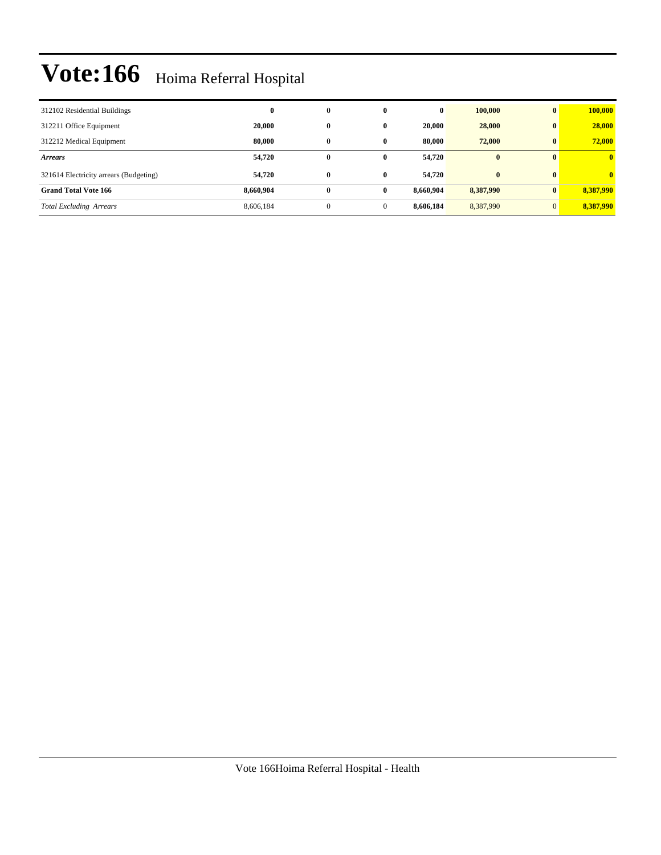| 312102 Residential Buildings           | $\bf{0}$  | $\bf{0}$     | $\mathbf{0}$ | 0         | 100,000      | $\mathbf{0}$ | 100,000                 |
|----------------------------------------|-----------|--------------|--------------|-----------|--------------|--------------|-------------------------|
| 312211 Office Equipment                | 20.000    | $\bf{0}$     | $\mathbf{0}$ | 20,000    | 28,000       | $\mathbf{0}$ | 28,000                  |
| 312212 Medical Equipment               | 80,000    | $\bf{0}$     | $\bf{0}$     | 80.000    | 72,000       | $\mathbf{0}$ | 72,000                  |
| <b>Arrears</b>                         | 54,720    | $\bf{0}$     | $\bf{0}$     | 54,720    | $\mathbf{0}$ | $\mathbf{0}$ | $\overline{\mathbf{0}}$ |
| 321614 Electricity arrears (Budgeting) | 54,720    | $\bf{0}$     | $\mathbf{0}$ | 54,720    | $\bf{0}$     | $\mathbf{0}$ | $\mathbf{0}$            |
| <b>Grand Total Vote 166</b>            | 8,660,904 | $\bf{0}$     | $\mathbf{0}$ | 8.660.904 | 8,387,990    | $\mathbf{0}$ | 8,387,990               |
| <b>Total Excluding Arrears</b>         | 8,606,184 | $\mathbf{0}$ | $\mathbf{0}$ | 8.606.184 | 8,387,990    | $\mathbf{0}$ | 8,387,990               |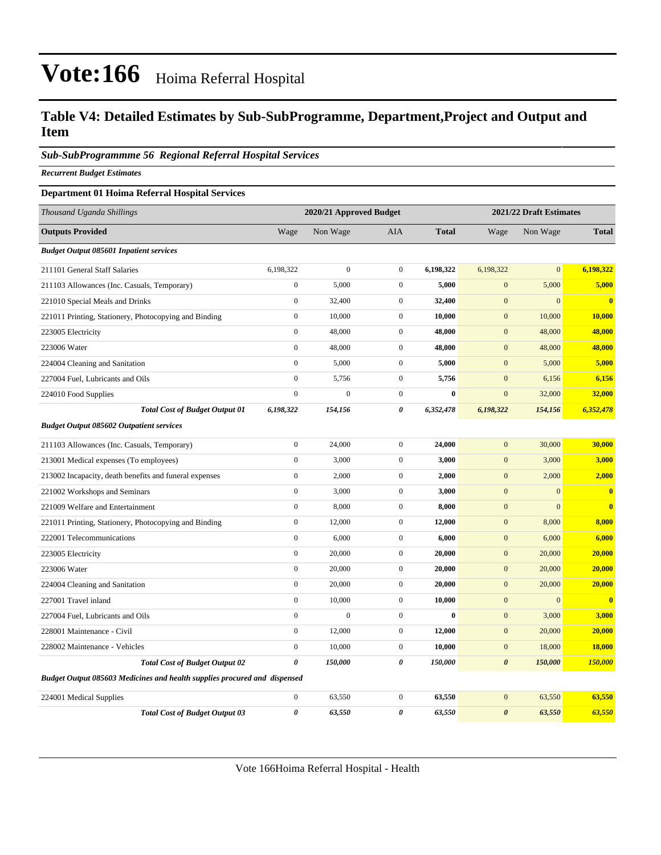### **Table V4: Detailed Estimates by Sub-SubProgramme, Department,Project and Output and Item**

#### *Sub-SubProgrammme 56 Regional Referral Hospital Services*

*Recurrent Budget Estimates*

#### **Department 01 Hoima Referral Hospital Services**

| Thousand Uganda Shillings                                                 |                       | 2020/21 Approved Budget |                  |              | 2021/22 Draft Estimates |                |              |  |
|---------------------------------------------------------------------------|-----------------------|-------------------------|------------------|--------------|-------------------------|----------------|--------------|--|
| <b>Outputs Provided</b>                                                   | Wage                  | Non Wage                | AIA              | <b>Total</b> | Wage                    | Non Wage       | <b>Total</b> |  |
| <b>Budget Output 085601 Inpatient services</b>                            |                       |                         |                  |              |                         |                |              |  |
| 211101 General Staff Salaries                                             | 6,198,322             | $\overline{0}$          | $\mathbf{0}$     | 6,198,322    | 6,198,322               | $\overline{0}$ | 6,198,322    |  |
| 211103 Allowances (Inc. Casuals, Temporary)                               | $\boldsymbol{0}$      | 5,000                   | $\mathbf{0}$     | 5,000        | $\boldsymbol{0}$        | 5,000          | 5,000        |  |
| 221010 Special Meals and Drinks                                           | $\boldsymbol{0}$      | 32,400                  | $\mathbf{0}$     | 32,400       | $\mathbf{0}$            | $\overline{0}$ | $\mathbf{0}$ |  |
| 221011 Printing, Stationery, Photocopying and Binding                     | $\boldsymbol{0}$      | 10,000                  | $\mathbf{0}$     | 10,000       | $\boldsymbol{0}$        | 10,000         | 10,000       |  |
| 223005 Electricity                                                        | $\boldsymbol{0}$      | 48,000                  | $\mathbf{0}$     | 48,000       | $\mathbf{0}$            | 48,000         | 48,000       |  |
| 223006 Water                                                              | $\overline{0}$        | 48,000                  | $\mathbf{0}$     | 48,000       | $\mathbf{0}$            | 48,000         | 48,000       |  |
| 224004 Cleaning and Sanitation                                            | $\boldsymbol{0}$      | 5,000                   | $\mathbf{0}$     | 5,000        | $\mathbf{0}$            | 5,000          | 5,000        |  |
| 227004 Fuel, Lubricants and Oils                                          | $\mathbf{0}$          | 5,756                   | $\mathbf{0}$     | 5,756        | $\mathbf{0}$            | 6,156          | 6,156        |  |
| 224010 Food Supplies                                                      | $\mathbf{0}$          | $\overline{0}$          | $\overline{0}$   | $\bf{0}$     | $\overline{0}$          | 32,000         | 32,000       |  |
| <b>Total Cost of Budget Output 01</b>                                     | 6,198,322             | 154,156                 | 0                | 6,352,478    | 6,198,322               | 154,156        | 6,352,478    |  |
| <b>Budget Output 085602 Outpatient services</b>                           |                       |                         |                  |              |                         |                |              |  |
| 211103 Allowances (Inc. Casuals, Temporary)                               | $\boldsymbol{0}$      | 24,000                  | $\mathbf{0}$     | 24,000       | $\mathbf{0}$            | 30,000         | 30,000       |  |
| 213001 Medical expenses (To employees)                                    | $\mathbf{0}$          | 3,000                   | $\overline{0}$   | 3,000        | $\overline{0}$          | 3,000          | 3,000        |  |
| 213002 Incapacity, death benefits and funeral expenses                    | $\boldsymbol{0}$      | 2,000                   | $\mathbf{0}$     | 2,000        | $\mathbf{0}$            | 2,000          | 2,000        |  |
| 221002 Workshops and Seminars                                             | $\boldsymbol{0}$      | 3,000                   | $\mathbf{0}$     | 3,000        | $\mathbf{0}$            | $\overline{0}$ | $\bf{0}$     |  |
| 221009 Welfare and Entertainment                                          | $\boldsymbol{0}$      | 8,000                   | $\boldsymbol{0}$ | 8,000        | $\boldsymbol{0}$        | $\mathbf{0}$   | $\bf{0}$     |  |
| 221011 Printing, Stationery, Photocopying and Binding                     | $\boldsymbol{0}$      | 12,000                  | $\mathbf{0}$     | 12,000       | $\mathbf{0}$            | 8,000          | 8,000        |  |
| 222001 Telecommunications                                                 | $\boldsymbol{0}$      | 6,000                   | $\mathbf 0$      | 6,000        | $\mathbf{0}$            | 6,000          | 6,000        |  |
| 223005 Electricity                                                        | $\boldsymbol{0}$      | 20,000                  | $\mathbf{0}$     | 20,000       | $\boldsymbol{0}$        | 20,000         | 20,000       |  |
| 223006 Water                                                              | $\boldsymbol{0}$      | 20,000                  | $\mathbf{0}$     | 20,000       | $\mathbf{0}$            | 20,000         | 20,000       |  |
| 224004 Cleaning and Sanitation                                            | $\mathbf{0}$          | 20,000                  | $\overline{0}$   | 20,000       | $\overline{0}$          | 20,000         | 20,000       |  |
| 227001 Travel inland                                                      | $\boldsymbol{0}$      | 10,000                  | $\mathbf{0}$     | 10,000       | $\mathbf{0}$            | $\overline{0}$ | $\bf{0}$     |  |
| 227004 Fuel, Lubricants and Oils                                          | $\overline{0}$        | $\boldsymbol{0}$        | $\mathbf{0}$     | $\bf{0}$     | $\mathbf{0}$            | 3,000          | 3,000        |  |
| 228001 Maintenance - Civil                                                | $\boldsymbol{0}$      | 12,000                  | $\boldsymbol{0}$ | 12,000       | $\boldsymbol{0}$        | 20,000         | 20,000       |  |
| 228002 Maintenance - Vehicles                                             | $\boldsymbol{0}$      | 10,000                  | $\mathbf{0}$     | 10,000       | $\mathbf{0}$            | 18,000         | 18,000       |  |
| <b>Total Cost of Budget Output 02</b>                                     | $\theta$              | 150,000                 | $\theta$         | 150,000      | $\boldsymbol{\theta}$   | 150,000        | 150,000      |  |
| Budget Output 085603 Medicines and health supplies procured and dispensed |                       |                         |                  |              |                         |                |              |  |
| 224001 Medical Supplies                                                   | $\boldsymbol{0}$      | 63,550                  | $\mathbf{0}$     | 63,550       | $\mathbf{0}$            | 63,550         | 63,550       |  |
| <b>Total Cost of Budget Output 03</b>                                     | $\boldsymbol{\theta}$ | 63,550                  | $\theta$         | 63,550       | $\boldsymbol{\theta}$   | 63,550         | 63,550       |  |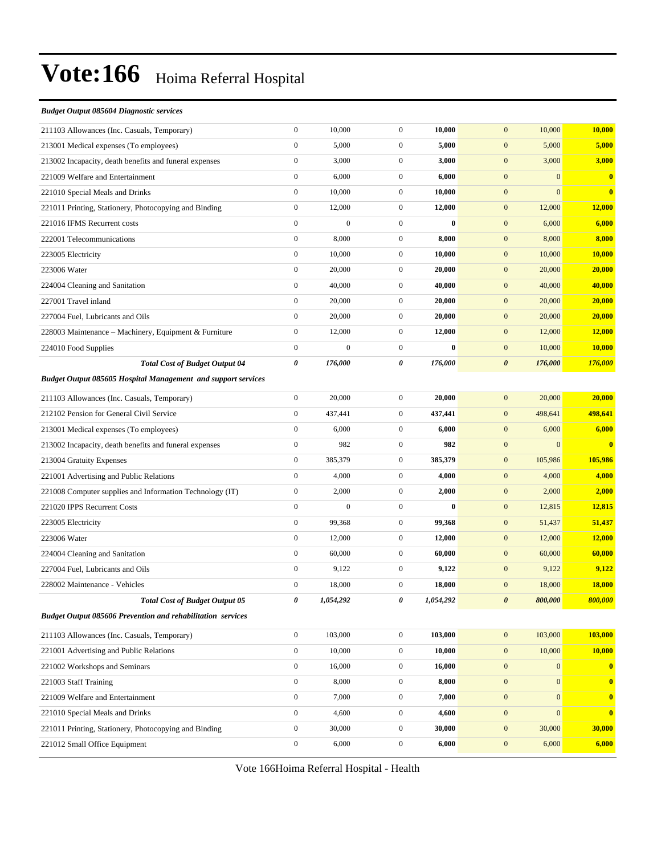#### *Budget Output 085604 Diagnostic services*

| 211103 Allowances (Inc. Casuals, Temporary)                          | $\boldsymbol{0}$      | 10,000           | $\mathbf{0}$     | 10,000       | 10,000<br>$\mathbf{0}$               | 10,000           |
|----------------------------------------------------------------------|-----------------------|------------------|------------------|--------------|--------------------------------------|------------------|
| 213001 Medical expenses (To employees)                               | $\boldsymbol{0}$      | 5,000            | $\overline{0}$   | 5,000        | $\mathbf{0}$<br>5,000                | 5,000            |
| 213002 Incapacity, death benefits and funeral expenses               | $\boldsymbol{0}$      | 3,000            | $\mathbf{0}$     | 3,000        | $\mathbf{0}$<br>3,000                | 3,000            |
| 221009 Welfare and Entertainment                                     | $\boldsymbol{0}$      | 6,000            | $\mathbf{0}$     | 6,000        | $\boldsymbol{0}$<br>$\mathbf{0}$     | $\bf{0}$         |
| 221010 Special Meals and Drinks                                      | $\boldsymbol{0}$      | 10,000           | $\mathbf{0}$     | 10,000       | $\mathbf{0}$<br>$\mathbf{0}$         | $\bf{0}$         |
| 221011 Printing, Stationery, Photocopying and Binding                | $\boldsymbol{0}$      | 12,000           | $\mathbf{0}$     | 12,000       | $\mathbf{0}$<br>12,000               | 12,000           |
| 221016 IFMS Recurrent costs                                          | $\boldsymbol{0}$      | $\boldsymbol{0}$ | $\mathbf{0}$     | $\bf{0}$     | $\mathbf{0}$<br>6,000                | 6,000            |
| 222001 Telecommunications                                            | $\boldsymbol{0}$      | 8,000            | $\mathbf{0}$     | 8,000        | $\mathbf{0}$<br>8,000                | 8,000            |
| 223005 Electricity                                                   | $\boldsymbol{0}$      | 10,000           | $\mathbf{0}$     | 10,000       | $\mathbf{0}$<br>10,000               | <b>10,000</b>    |
| 223006 Water                                                         | $\mathbf{0}$          | 20,000           | $\mathbf{0}$     | 20,000       | $\mathbf{0}$<br>20,000               | 20,000           |
| 224004 Cleaning and Sanitation                                       | $\boldsymbol{0}$      | 40,000           | $\mathbf{0}$     | 40,000       | $\mathbf{0}$<br>40,000               | 40,000           |
| 227001 Travel inland                                                 | $\boldsymbol{0}$      | 20,000           | $\mathbf{0}$     | 20,000       | $\mathbf{0}$<br>20,000               | 20,000           |
| 227004 Fuel, Lubricants and Oils                                     | $\boldsymbol{0}$      | 20,000           | $\mathbf{0}$     | 20,000       | $\mathbf{0}$<br>20,000               | 20,000           |
| 228003 Maintenance – Machinery, Equipment & Furniture                | $\boldsymbol{0}$      | 12,000           | $\mathbf{0}$     | 12,000       | $\mathbf{0}$<br>12,000               | <b>12,000</b>    |
| 224010 Food Supplies                                                 | $\boldsymbol{0}$      | $\mathbf{0}$     | $\mathbf{0}$     | $\mathbf{0}$ | $\mathbf{0}$<br>10,000               | 10,000           |
| <b>Total Cost of Budget Output 04</b>                                | $\boldsymbol{\theta}$ | 176,000          | 0                | 176,000      | $\boldsymbol{\theta}$<br>176,000     | 176,000          |
| <b>Budget Output 085605 Hospital Management and support services</b> |                       |                  |                  |              |                                      |                  |
| 211103 Allowances (Inc. Casuals, Temporary)                          | $\boldsymbol{0}$      | 20,000           | $\mathbf{0}$     | 20,000       | $\mathbf{0}$<br>20,000               | 20,000           |
| 212102 Pension for General Civil Service                             | $\boldsymbol{0}$      | 437,441          | $\mathbf{0}$     | 437,441      | $\mathbf{0}$<br>498,641              | 498,641          |
| 213001 Medical expenses (To employees)                               | $\boldsymbol{0}$      | 6,000            | $\mathbf{0}$     | 6,000        | $\mathbf{0}$<br>6,000                | 6,000            |
| 213002 Incapacity, death benefits and funeral expenses               | $\boldsymbol{0}$      | 982              | $\mathbf{0}$     | 982          | $\mathbf{0}$<br>$\mathbf{0}$         | $\bf{0}$         |
| 213004 Gratuity Expenses                                             | $\boldsymbol{0}$      | 385,379          | $\mathbf{0}$     | 385,379      | $\mathbf{0}$<br>105,986              | 105,986          |
| 221001 Advertising and Public Relations                              | $\mathbf{0}$          | 4,000            | $\mathbf{0}$     | 4,000        | $\mathbf{0}$<br>4,000                | 4,000            |
| 221008 Computer supplies and Information Technology (IT)             | $\boldsymbol{0}$      | 2,000            | $\mathbf{0}$     | 2,000        | $\mathbf{0}$<br>2,000                | 2,000            |
| 221020 IPPS Recurrent Costs                                          | $\mathbf{0}$          | $\boldsymbol{0}$ | $\overline{0}$   | $\bf{0}$     | $\mathbf{0}$<br>12,815               | <b>12,815</b>    |
| 223005 Electricity                                                   | $\mathbf{0}$          | 99,368           | $\mathbf{0}$     | 99,368       | $\mathbf{0}$<br>51,437               | 51,437           |
| 223006 Water                                                         | $\boldsymbol{0}$      | 12,000           | $\mathbf{0}$     | 12,000       | $\mathbf{0}$<br>12,000               | 12,000           |
| 224004 Cleaning and Sanitation                                       | $\boldsymbol{0}$      | 60,000           | $\mathbf{0}$     | 60,000       | $\mathbf{0}$<br>60,000               | 60,000           |
| 227004 Fuel, Lubricants and Oils                                     | $\boldsymbol{0}$      | 9,122            | $\mathbf{0}$     | 9,122        | 9,122<br>$\mathbf{0}$                | 9,122            |
| 228002 Maintenance - Vehicles                                        | $\boldsymbol{0}$      | 18,000           | $\mathbf{0}$     | 18,000       | $\mathbf{0}$<br>18,000               | <b>18,000</b>    |
| <b>Total Cost of Budget Output 05</b>                                | 0                     | 1,054,292        | 0                | 1,054,292    | $\boldsymbol{\theta}$<br>800,000     | 800,000          |
| <b>Budget Output 085606 Prevention and rehabilitation services</b>   |                       |                  |                  |              |                                      |                  |
| 211103 Allowances (Inc. Casuals, Temporary)                          | $\boldsymbol{0}$      | 103,000          | $\boldsymbol{0}$ | 103,000      | $\mathbf{0}$<br>103,000              | 103,000          |
| 221001 Advertising and Public Relations                              | $\boldsymbol{0}$      | 10,000           | $\boldsymbol{0}$ | 10,000       | $\mathbf{0}$<br>10,000               | 10,000           |
| 221002 Workshops and Seminars                                        | $\boldsymbol{0}$      | 16,000           | $\boldsymbol{0}$ | 16,000       | $\mathbf{0}$<br>$\mathbf{0}$         | $\bf{0}$         |
| 221003 Staff Training                                                | $\boldsymbol{0}$      | 8,000            | $\boldsymbol{0}$ | 8,000        | $\boldsymbol{0}$<br>$\boldsymbol{0}$ | $\boldsymbol{0}$ |
| 221009 Welfare and Entertainment                                     | $\boldsymbol{0}$      | 7,000            | $\boldsymbol{0}$ | 7,000        | $\mathbf{0}$<br>$\mathbf{0}$         | $\mathbf{0}$     |
| 221010 Special Meals and Drinks                                      | $\boldsymbol{0}$      | 4,600            | $\boldsymbol{0}$ | 4,600        | $\boldsymbol{0}$<br>$\mathbf{0}$     | $\bf{0}$         |
| 221011 Printing, Stationery, Photocopying and Binding                | $\boldsymbol{0}$      | 30,000           | $\boldsymbol{0}$ | 30,000       | 30,000<br>$\boldsymbol{0}$           | 30,000           |
| 221012 Small Office Equipment                                        | $\boldsymbol{0}$      | 6,000            | $\boldsymbol{0}$ | 6,000        | $\mathbf{0}$<br>6,000                | 6,000            |
|                                                                      |                       |                  |                  |              |                                      |                  |

Vote 166Hoima Referral Hospital - Health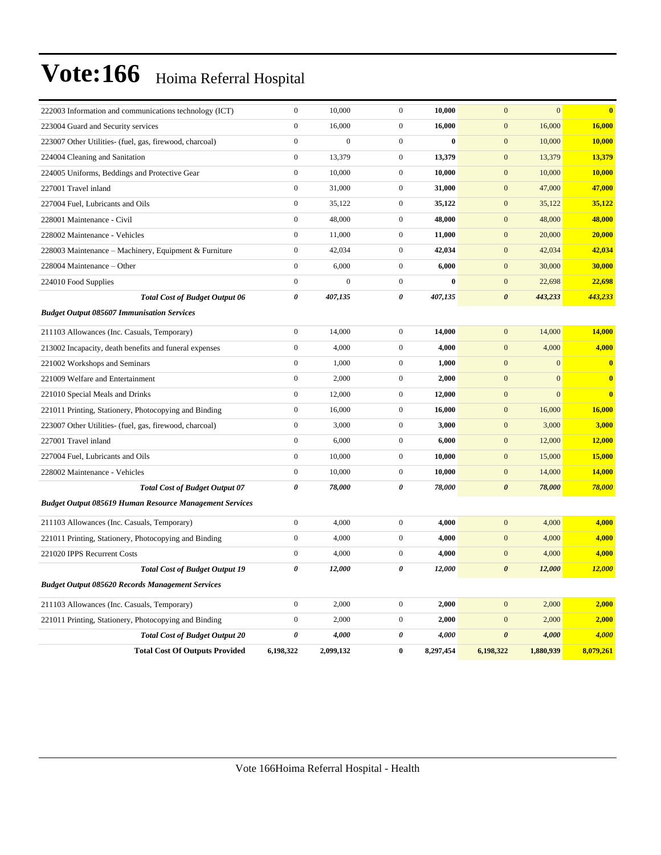| 222003 Information and communications technology (ICT)         | $\boldsymbol{0}$ | 10,000           | $\boldsymbol{0}$ | 10,000    | $\overline{0}$        | $\overline{0}$ | $\bf{0}$      |
|----------------------------------------------------------------|------------------|------------------|------------------|-----------|-----------------------|----------------|---------------|
| 223004 Guard and Security services                             | $\mathbf{0}$     | 16,000           | $\mathbf{0}$     | 16,000    | $\boldsymbol{0}$      | 16,000         | 16,000        |
| 223007 Other Utilities- (fuel, gas, firewood, charcoal)        | $\mathbf{0}$     | $\overline{0}$   | $\mathbf{0}$     | $\bf{0}$  | $\mathbf{0}$          | 10,000         | 10,000        |
| 224004 Cleaning and Sanitation                                 | $\boldsymbol{0}$ | 13,379           | $\boldsymbol{0}$ | 13,379    | $\mathbf{0}$          | 13,379         | 13,379        |
| 224005 Uniforms, Beddings and Protective Gear                  | $\boldsymbol{0}$ | 10,000           | $\mathbf{0}$     | 10,000    | $\boldsymbol{0}$      | 10,000         | 10,000        |
| 227001 Travel inland                                           | $\boldsymbol{0}$ | 31,000           | $\mathbf{0}$     | 31,000    | $\mathbf{0}$          | 47,000         | 47,000        |
| 227004 Fuel, Lubricants and Oils                               | $\boldsymbol{0}$ | 35,122           | $\boldsymbol{0}$ | 35,122    | $\mathbf{0}$          | 35,122         | 35,122        |
| 228001 Maintenance - Civil                                     | $\boldsymbol{0}$ | 48,000           | $\boldsymbol{0}$ | 48,000    | $\mathbf{0}$          | 48,000         | 48,000        |
| 228002 Maintenance - Vehicles                                  | $\boldsymbol{0}$ | 11,000           | $\mathbf{0}$     | 11,000    | $\mathbf{0}$          | 20,000         | 20,000        |
| 228003 Maintenance - Machinery, Equipment & Furniture          | $\boldsymbol{0}$ | 42,034           | $\boldsymbol{0}$ | 42,034    | $\boldsymbol{0}$      | 42,034         | 42,034        |
| 228004 Maintenance - Other                                     | $\boldsymbol{0}$ | 6,000            | $\boldsymbol{0}$ | 6,000     | $\boldsymbol{0}$      | 30,000         | 30,000        |
| 224010 Food Supplies                                           | $\boldsymbol{0}$ | $\boldsymbol{0}$ | $\mathbf{0}$     | $\bf{0}$  | $\mathbf{0}$          | 22,698         | 22,698        |
| <b>Total Cost of Budget Output 06</b>                          | 0                | 407,135          | 0                | 407,135   | $\boldsymbol{\theta}$ | 443,233        | 443,233       |
| <b>Budget Output 085607 Immunisation Services</b>              |                  |                  |                  |           |                       |                |               |
| 211103 Allowances (Inc. Casuals, Temporary)                    | $\boldsymbol{0}$ | 14,000           | $\mathbf{0}$     | 14,000    | $\mathbf{0}$          | 14,000         | 14,000        |
| 213002 Incapacity, death benefits and funeral expenses         | $\mathbf{0}$     | 4,000            | $\boldsymbol{0}$ | 4,000     | $\boldsymbol{0}$      | 4,000          | 4,000         |
| 221002 Workshops and Seminars                                  | $\boldsymbol{0}$ | 1,000            | $\boldsymbol{0}$ | 1,000     | $\boldsymbol{0}$      | $\mathbf{0}$   | $\bf{0}$      |
| 221009 Welfare and Entertainment                               | $\boldsymbol{0}$ | 2,000            | $\mathbf{0}$     | 2,000     | $\mathbf{0}$          | $\mathbf{0}$   | $\bf{0}$      |
| 221010 Special Meals and Drinks                                | $\boldsymbol{0}$ | 12,000           | $\mathbf{0}$     | 12,000    | $\mathbf{0}$          | $\overline{0}$ | $\bf{0}$      |
| 221011 Printing, Stationery, Photocopying and Binding          | $\boldsymbol{0}$ | 16,000           | $\mathbf{0}$     | 16,000    | $\mathbf{0}$          | 16,000         | 16,000        |
| 223007 Other Utilities- (fuel, gas, firewood, charcoal)        | $\boldsymbol{0}$ | 3,000            | $\mathbf{0}$     | 3,000     | $\mathbf{0}$          | 3,000          | 3,000         |
| 227001 Travel inland                                           | $\boldsymbol{0}$ | 6,000            | $\mathbf{0}$     | 6,000     | $\mathbf{0}$          | 12,000         | 12,000        |
| 227004 Fuel, Lubricants and Oils                               | $\boldsymbol{0}$ | 10,000           | $\boldsymbol{0}$ | 10,000    | $\boldsymbol{0}$      | 15,000         | 15,000        |
| 228002 Maintenance - Vehicles                                  | $\boldsymbol{0}$ | 10,000           | $\boldsymbol{0}$ | 10,000    | $\boldsymbol{0}$      | 14,000         | 14,000        |
| <b>Total Cost of Budget Output 07</b>                          | $\pmb{\theta}$   | 78,000           | 0                | 78,000    | $\boldsymbol{\theta}$ | 78,000         | 78,000        |
| <b>Budget Output 085619 Human Resource Management Services</b> |                  |                  |                  |           |                       |                |               |
| 211103 Allowances (Inc. Casuals, Temporary)                    | $\boldsymbol{0}$ | 4,000            | $\boldsymbol{0}$ | 4,000     | $\mathbf{0}$          | 4,000          | 4,000         |
| 221011 Printing, Stationery, Photocopying and Binding          | $\boldsymbol{0}$ | 4,000            | $\mathbf{0}$     | 4,000     | $\mathbf{0}$          | 4,000          | 4,000         |
| 221020 IPPS Recurrent Costs                                    | $\boldsymbol{0}$ | 4,000            | $\boldsymbol{0}$ | 4,000     | $\boldsymbol{0}$      | 4,000          | 4,000         |
| <b>Total Cost of Budget Output 19</b>                          | 0                | 12,000           | 0                | 12,000    | $\boldsymbol{\theta}$ | 12,000         | <b>12,000</b> |
| <b>Budget Output 085620 Records Management Services</b>        |                  |                  |                  |           |                       |                |               |
| 211103 Allowances (Inc. Casuals, Temporary)                    | $\boldsymbol{0}$ | 2,000            | $\boldsymbol{0}$ | 2,000     | $\overline{0}$        | 2,000          | 2,000         |
| 221011 Printing, Stationery, Photocopying and Binding          | $\boldsymbol{0}$ | 2,000            | $\mathbf{0}$     | 2,000     | $\mathbf{0}$          | 2,000          | 2,000         |
| <b>Total Cost of Budget Output 20</b>                          | 0                | 4,000            | 0                | 4,000     | $\boldsymbol{\theta}$ | 4,000          | 4,000         |
| <b>Total Cost Of Outputs Provided</b>                          | 6,198,322        | 2,099,132        | $\bf{0}$         | 8,297,454 | 6,198,322             | 1,880,939      | 8,079,261     |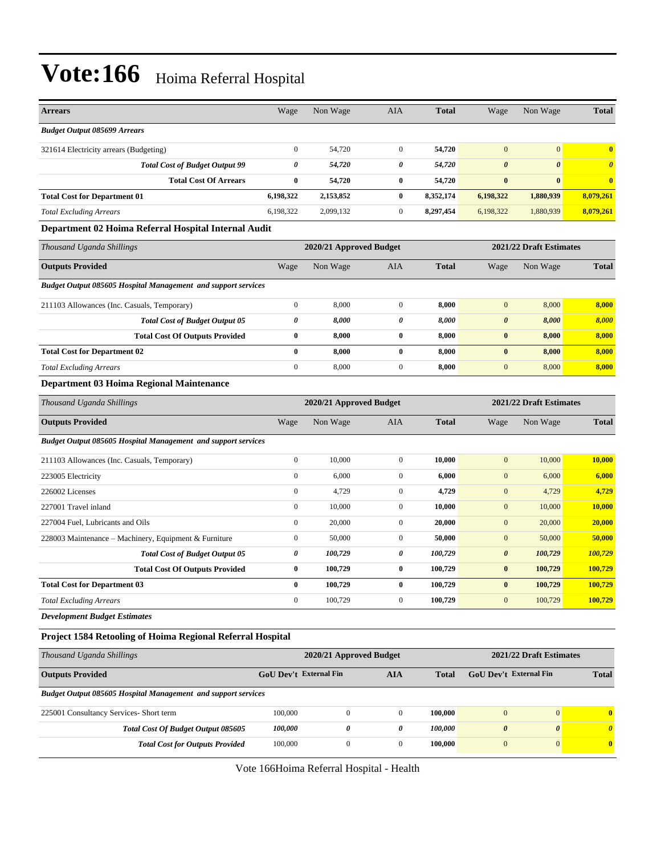| <b>Arrears</b>                                                       | Wage                   | Non Wage                | AIA              | <b>Total</b> | Wage                   | Non Wage                | <b>Total</b>          |
|----------------------------------------------------------------------|------------------------|-------------------------|------------------|--------------|------------------------|-------------------------|-----------------------|
| <b>Budget Output 085699 Arrears</b>                                  |                        |                         |                  |              |                        |                         |                       |
| 321614 Electricity arrears (Budgeting)                               | $\boldsymbol{0}$       | 54,720                  | $\mathbf{0}$     | 54,720       | $\boldsymbol{0}$       | $\mathbf{0}$            | $\bf{0}$              |
| <b>Total Cost of Budget Output 99</b>                                | $\boldsymbol{\theta}$  | 54,720                  | 0                | 54,720       | $\boldsymbol{\theta}$  | $\boldsymbol{\theta}$   | $\boldsymbol{\theta}$ |
| <b>Total Cost Of Arrears</b>                                         | $\bf{0}$               | 54,720                  | $\bf{0}$         | 54,720       | $\bf{0}$               | $\bf{0}$                | $\bf{0}$              |
| <b>Total Cost for Department 01</b>                                  | 6,198,322              | 2,153,852               | $\bf{0}$         | 8,352,174    | 6,198,322              | 1,880,939               | 8,079,261             |
| <b>Total Excluding Arrears</b>                                       | 6,198,322              | 2,099,132               | $\boldsymbol{0}$ | 8,297,454    | 6,198,322              | 1,880,939               | 8,079,261             |
| Department 02 Hoima Referral Hospital Internal Audit                 |                        |                         |                  |              |                        |                         |                       |
| Thousand Uganda Shillings                                            |                        | 2020/21 Approved Budget |                  |              |                        | 2021/22 Draft Estimates |                       |
| <b>Outputs Provided</b>                                              | Wage                   | Non Wage                | AIA              | <b>Total</b> | Wage                   | Non Wage                | <b>Total</b>          |
| <b>Budget Output 085605 Hospital Management and support services</b> |                        |                         |                  |              |                        |                         |                       |
| 211103 Allowances (Inc. Casuals, Temporary)                          | $\boldsymbol{0}$       | 8,000                   | $\boldsymbol{0}$ | 8,000        | $\mathbf{0}$           | 8,000                   | 8,000                 |
| <b>Total Cost of Budget Output 05</b>                                | 0                      | 8,000                   | 0                | 8,000        | $\boldsymbol{\theta}$  | 8,000                   | 8,000                 |
| <b>Total Cost Of Outputs Provided</b>                                | $\bf{0}$               | 8,000                   | $\bf{0}$         | 8,000        | $\bf{0}$               | 8,000                   | 8,000                 |
| <b>Total Cost for Department 02</b>                                  | $\bf{0}$               | 8,000                   | $\bf{0}$         | 8,000        | $\bf{0}$               | 8,000                   | 8,000                 |
| <b>Total Excluding Arrears</b>                                       | $\boldsymbol{0}$       | 8,000                   | $\boldsymbol{0}$ | 8,000        | $\mathbf{0}$           | 8,000                   | 8,000                 |
| Department 03 Hoima Regional Maintenance                             |                        |                         |                  |              |                        |                         |                       |
| Thousand Uganda Shillings                                            |                        | 2020/21 Approved Budget |                  |              |                        | 2021/22 Draft Estimates |                       |
| <b>Outputs Provided</b>                                              | Wage                   | Non Wage                | AIA              | <b>Total</b> | Wage                   | Non Wage                | <b>Total</b>          |
| <b>Budget Output 085605 Hospital Management and support services</b> |                        |                         |                  |              |                        |                         |                       |
| 211103 Allowances (Inc. Casuals, Temporary)                          | $\boldsymbol{0}$       | 10,000                  | $\boldsymbol{0}$ | 10,000       | $\boldsymbol{0}$       | 10,000                  | 10,000                |
| 223005 Electricity                                                   | $\boldsymbol{0}$       | 6,000                   | $\mathbf{0}$     | 6,000        | $\mathbf{0}$           | 6,000                   | 6,000                 |
| 226002 Licenses                                                      | $\boldsymbol{0}$       | 4,729                   | $\mathbf{0}$     | 4,729        | $\mathbf{0}$           | 4,729                   | 4,729                 |
| 227001 Travel inland                                                 | $\boldsymbol{0}$       | 10,000                  | $\boldsymbol{0}$ | 10,000       | $\mathbf{0}$           | 10,000                  | 10,000                |
| 227004 Fuel, Lubricants and Oils                                     | $\boldsymbol{0}$       | 20,000                  | $\boldsymbol{0}$ | 20,000       | $\mathbf{0}$           | 20,000                  | 20,000                |
| 228003 Maintenance - Machinery, Equipment & Furniture                | $\boldsymbol{0}$       | 50,000                  | $\mathbf{0}$     | 50,000       | $\boldsymbol{0}$       | 50,000                  | 50,000                |
| <b>Total Cost of Budget Output 05</b>                                | 0                      | 100,729                 | 0                | 100,729      | $\boldsymbol{\theta}$  | 100,729                 | 100,729               |
| <b>Total Cost Of Outputs Provided</b>                                | $\bf{0}$               | 100,729                 | $\bf{0}$         | 100,729      | $\bf{0}$               | 100,729                 | 100,729               |
| <b>Total Cost for Department 03</b>                                  | $\bf{0}$               | 100,729                 | $\bf{0}$         | 100,729      | $\bf{0}$               | 100,729                 | 100,729               |
| <b>Total Excluding Arrears</b>                                       | $\boldsymbol{0}$       | 100,729                 | $\boldsymbol{0}$ | 100,729      | $\mathbf{0}$           | 100,729                 | 100,729               |
| <b>Development Budget Estimates</b>                                  |                        |                         |                  |              |                        |                         |                       |
| Project 1584 Retooling of Hoima Regional Referral Hospital           |                        |                         |                  |              |                        |                         |                       |
| Thousand Uganda Shillings                                            |                        | 2020/21 Approved Budget |                  |              |                        | 2021/22 Draft Estimates |                       |
| <b>Outputs Provided</b>                                              | GoU Dev't External Fin |                         | <b>AIA</b>       | <b>Total</b> | GoU Dev't External Fin |                         | <b>Total</b>          |
| <b>Budget Output 085605 Hospital Management and support services</b> |                        |                         |                  |              |                        |                         |                       |
| 225001 Consultancy Services- Short term                              | 100,000                | $\boldsymbol{0}$        | $\mathbf{0}$     | 100,000      | $\boldsymbol{0}$       | $\boldsymbol{0}$        | $\bf{0}$              |
| Total Cost Of Budget Output 085605                                   | 100,000                | 0                       | 0                | 100,000      | $\boldsymbol{\theta}$  | $\pmb{\theta}$          | $\boldsymbol{\theta}$ |
| <b>Total Cost for Outputs Provided</b>                               | 100,000                | $\boldsymbol{0}$        | $\bf{0}$         | 100,000      | $\boldsymbol{0}$       | $\boldsymbol{0}$        | $\bf{0}$              |

Vote 166Hoima Referral Hospital - Health